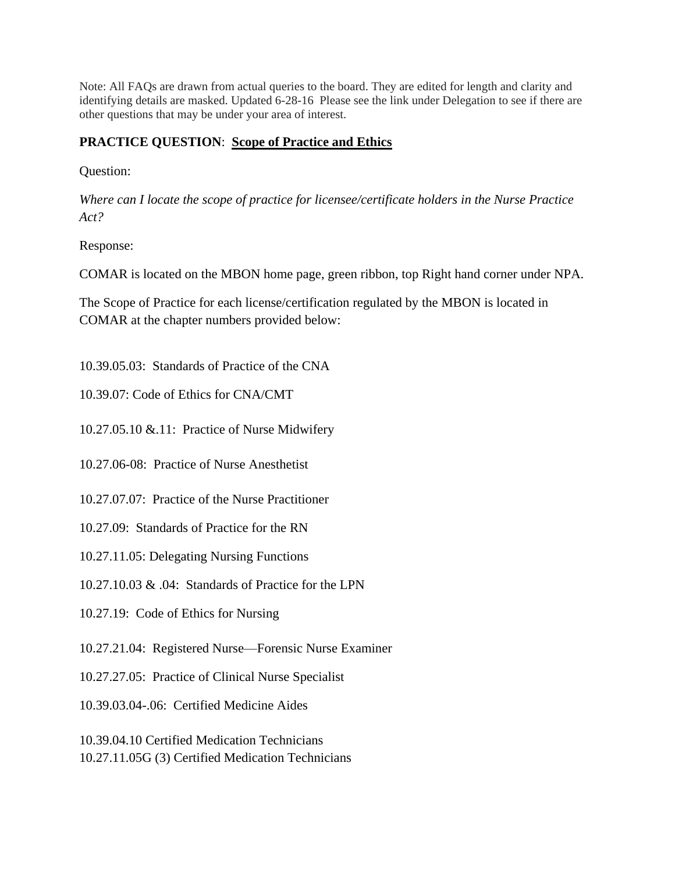Note: All FAQs are drawn from actual queries to the board. They are edited for length and clarity and identifying details are masked. Updated 6-28-16 Please see the link under Delegation to see if there are other questions that may be under your area of interest.

# **PRACTICE QUESTION**: **Scope of Practice and Ethics**

Question:

*Where can I locate the scope of practice for licensee/certificate holders in the Nurse Practice Act?*

Response:

COMAR is located on the MBON home page, green ribbon, top Right hand corner under NPA.

The Scope of Practice for each license/certification regulated by the MBON is located in COMAR at the chapter numbers provided below:

10.39.05.03: Standards of Practice of the CNA

10.39.07: Code of Ethics for CNA/CMT

10.27.05.10 &.11: Practice of Nurse Midwifery

10.27.06-08: Practice of Nurse Anesthetist

10.27.07.07: Practice of the Nurse Practitioner

10.27.09: Standards of Practice for the RN

10.27.11.05: Delegating Nursing Functions

10.27.10.03 & .04: Standards of Practice for the LPN

10.27.19: Code of Ethics for Nursing

10.27.21.04: Registered Nurse—Forensic Nurse Examiner

10.27.27.05: Practice of Clinical Nurse Specialist

10.39.03.04-.06: Certified Medicine Aides

10.39.04.10 Certified Medication Technicians 10.27.11.05G (3) Certified Medication Technicians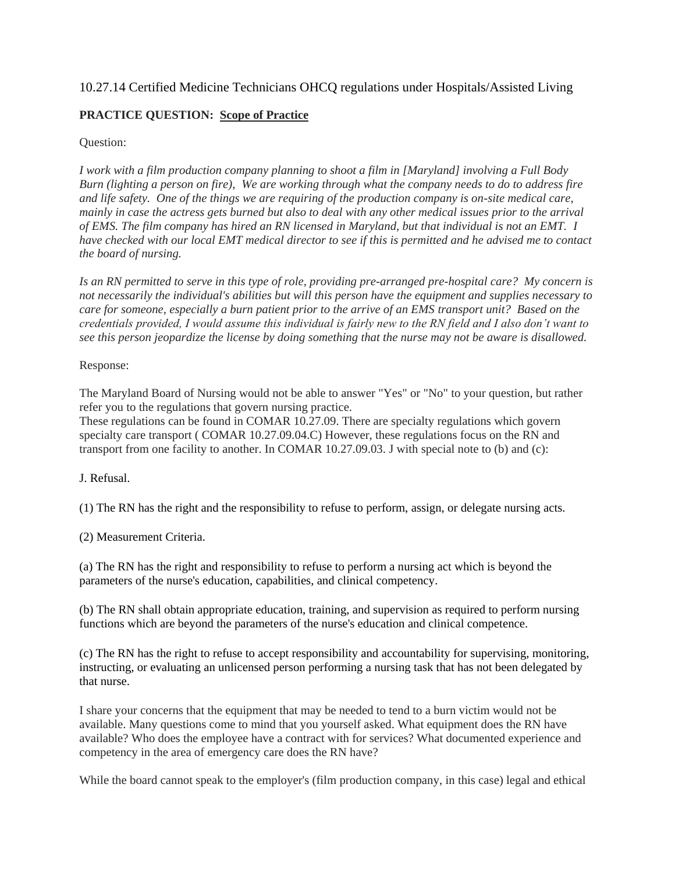# 10.27.14 Certified Medicine Technicians OHCQ regulations under Hospitals/Assisted Living

## **PRACTICE QUESTION: Scope of Practice**

## Question:

*I work with a film production company planning to shoot a film in [Maryland] involving a Full Body Burn (lighting a person on fire), We are working through what the company needs to do to address fire and life safety. One of the things we are requiring of the production company is on-site medical care, mainly in case the actress gets burned but also to deal with any other medical issues prior to the arrival of EMS. The film company has hired an RN licensed in Maryland, but that individual is not an EMT. I have checked with our local EMT medical director to see if this is permitted and he advised me to contact the board of nursing.*

*Is an RN permitted to serve in this type of role, providing pre-arranged pre-hospital care? My concern is not necessarily the individual's abilities but will this person have the equipment and supplies necessary to care for someone, especially a burn patient prior to the arrive of an EMS transport unit? Based on the credentials provided, I would assume this individual is fairly new to the RN field and I also don't want to see this person jeopardize the license by doing something that the nurse may not be aware is disallowed.*

## Response:

The Maryland Board of Nursing would not be able to answer "Yes" or "No" to your question, but rather refer you to the regulations that govern nursing practice.

These regulations can be found in COMAR 10.27.09. There are specialty regulations which govern specialty care transport ( COMAR 10.27.09.04.C) However, these regulations focus on the RN and transport from one facility to another. In COMAR 10.27.09.03. J with special note to (b) and (c):

J. Refusal.

(1) The RN has the right and the responsibility to refuse to perform, assign, or delegate nursing acts.

(2) Measurement Criteria.

(a) The RN has the right and responsibility to refuse to perform a nursing act which is beyond the parameters of the nurse's education, capabilities, and clinical competency.

(b) The RN shall obtain appropriate education, training, and supervision as required to perform nursing functions which are beyond the parameters of the nurse's education and clinical competence.

(c) The RN has the right to refuse to accept responsibility and accountability for supervising, monitoring, instructing, or evaluating an unlicensed person performing a nursing task that has not been delegated by that nurse.

I share your concerns that the equipment that may be needed to tend to a burn victim would not be available. Many questions come to mind that you yourself asked. What equipment does the RN have available? Who does the employee have a contract with for services? What documented experience and competency in the area of emergency care does the RN have?

While the board cannot speak to the employer's (film production company, in this case) legal and ethical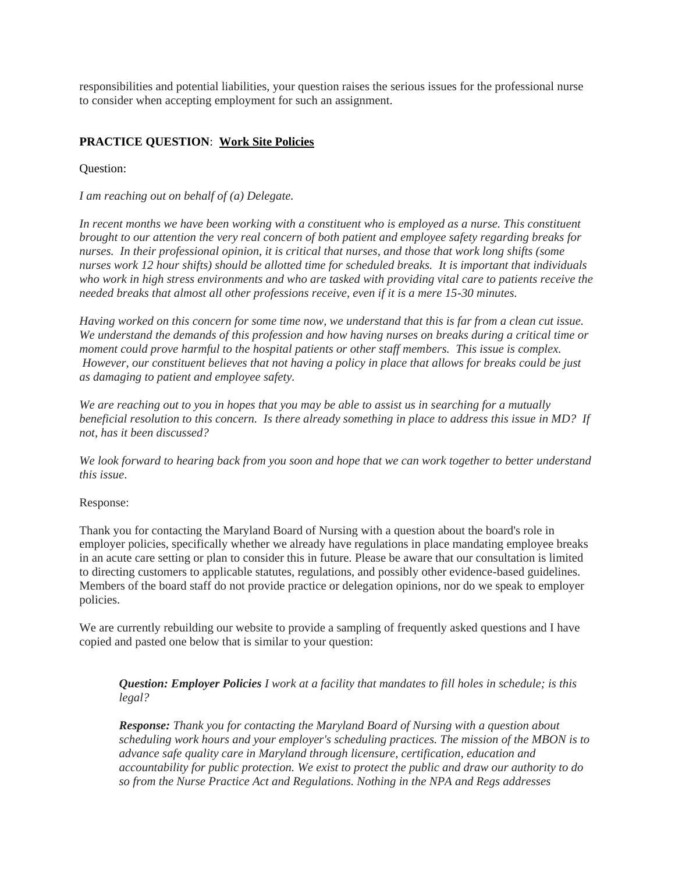responsibilities and potential liabilities, your question raises the serious issues for the professional nurse to consider when accepting employment for such an assignment.

## **PRACTICE QUESTION**: **Work Site Policies**

#### Question:

#### *I am reaching out on behalf of (a) Delegate.*

In recent months we have been working with a constituent who is employed as a nurse. This constituent *brought to our attention the very real concern of both patient and employee safety regarding breaks for nurses. In their professional opinion, it is critical that nurses, and those that work long shifts (some nurses work 12 hour shifts) should be allotted time for scheduled breaks. It is important that individuals who work in high stress environments and who are tasked with providing vital care to patients receive the needed breaks that almost all other professions receive, even if it is a mere 15-30 minutes.*

*Having worked on this concern for some time now, we understand that this is far from a clean cut issue. We understand the demands of this profession and how having nurses on breaks during a critical time or moment could prove harmful to the hospital patients or other staff members. This issue is complex. However, our constituent believes that not having a policy in place that allows for breaks could be just as damaging to patient and employee safety.*

*We are reaching out to you in hopes that you may be able to assist us in searching for a mutually beneficial resolution to this concern. Is there already something in place to address this issue in MD? If not, has it been discussed?* 

*We look forward to hearing back from you soon and hope that we can work together to better understand this issue*.

#### Response:

Thank you for contacting the Maryland Board of Nursing with a question about the board's role in employer policies, specifically whether we already have regulations in place mandating employee breaks in an acute care setting or plan to consider this in future. Please be aware that our consultation is limited to directing customers to applicable statutes, regulations, and possibly other evidence-based guidelines. Members of the board staff do not provide practice or delegation opinions, nor do we speak to employer policies.

We are currently rebuilding our website to provide a sampling of frequently asked questions and I have copied and pasted one below that is similar to your question:

*Question: Employer Policies I work at a facility that mandates to fill holes in schedule; is this legal?*

*Response: Thank you for contacting the Maryland Board of Nursing with a question about scheduling work hours and your employer's scheduling practices. The mission of the MBON is to advance safe quality care in Maryland through licensure, certification, education and accountability for public protection. We exist to protect the public and draw our authority to do so from the Nurse Practice Act and Regulations. Nothing in the NPA and Regs addresses*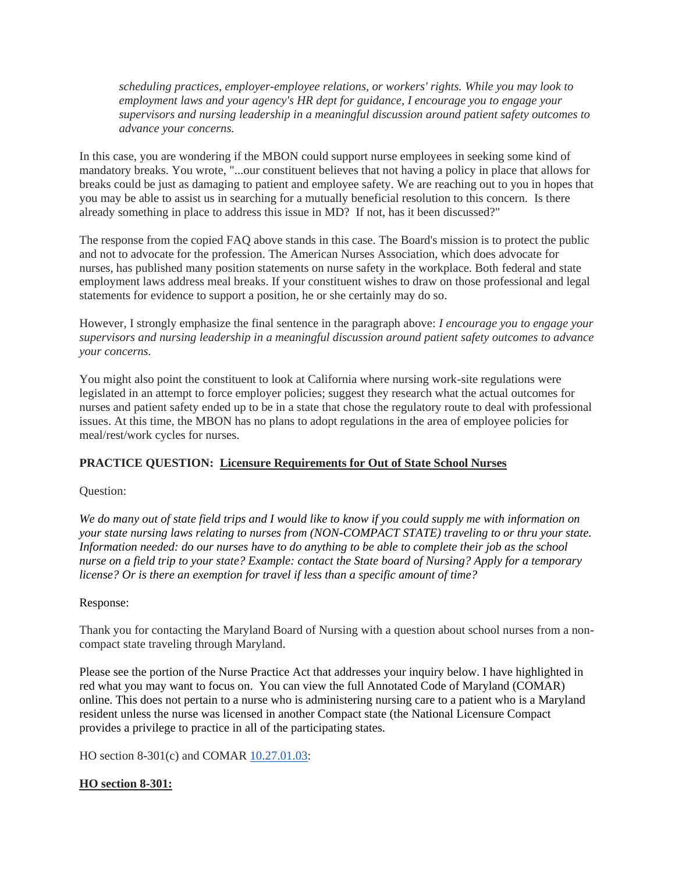*scheduling practices, employer-employee relations, or workers' rights. While you may look to employment laws and your agency's HR dept for guidance, I encourage you to engage your supervisors and nursing leadership in a meaningful discussion around patient safety outcomes to advance your concerns.*

In this case, you are wondering if the MBON could support nurse employees in seeking some kind of mandatory breaks. You wrote, "...our constituent believes that not having a policy in place that allows for breaks could be just as damaging to patient and employee safety. We are reaching out to you in hopes that you may be able to assist us in searching for a mutually beneficial resolution to this concern. Is there already something in place to address this issue in MD? If not, has it been discussed?"

The response from the copied FAQ above stands in this case. The Board's mission is to protect the public and not to advocate for the profession. The American Nurses Association, which does advocate for nurses, has published many position statements on nurse safety in the workplace. Both federal and state employment laws address meal breaks. If your constituent wishes to draw on those professional and legal statements for evidence to support a position, he or she certainly may do so.

However, I strongly emphasize the final sentence in the paragraph above: *I encourage you to engage your supervisors and nursing leadership in a meaningful discussion around patient safety outcomes to advance your concerns.*

You might also point the constituent to look at California where nursing work-site regulations were legislated in an attempt to force employer policies; suggest they research what the actual outcomes for nurses and patient safety ended up to be in a state that chose the regulatory route to deal with professional issues. At this time, the MBON has no plans to adopt regulations in the area of employee policies for meal/rest/work cycles for nurses.

# **PRACTICE QUESTION: Licensure Requirements for Out of State School Nurses**

Question:

*We do many out of state field trips and I would like to know if you could supply me with information on your state nursing laws relating to nurses from (NON-COMPACT STATE) traveling to or thru your state. Information needed: do our nurses have to do anything to be able to complete their job as the school nurse on a field trip to your state? Example: contact the State board of Nursing? Apply for a temporary license? Or is there an exemption for travel if less than a specific amount of time?*

## Response:

Thank you for contacting the Maryland Board of Nursing with a question about school nurses from a noncompact state traveling through Maryland.

Please see the portion of the Nurse Practice Act that addresses your inquiry below. I have highlighted in red what you may want to focus on. You can view the full Annotated Code of Maryland (COMAR) online. This does not pertain to a nurse who is administering nursing care to a patient who is a Maryland resident unless the nurse was licensed in another Compact state (the National Licensure Compact provides a privilege to practice in all of the participating states.

HO section 8-301(c) and COMAR [10.27.01.03:](http://10.27.1.3/)

## **HO section 8-301:**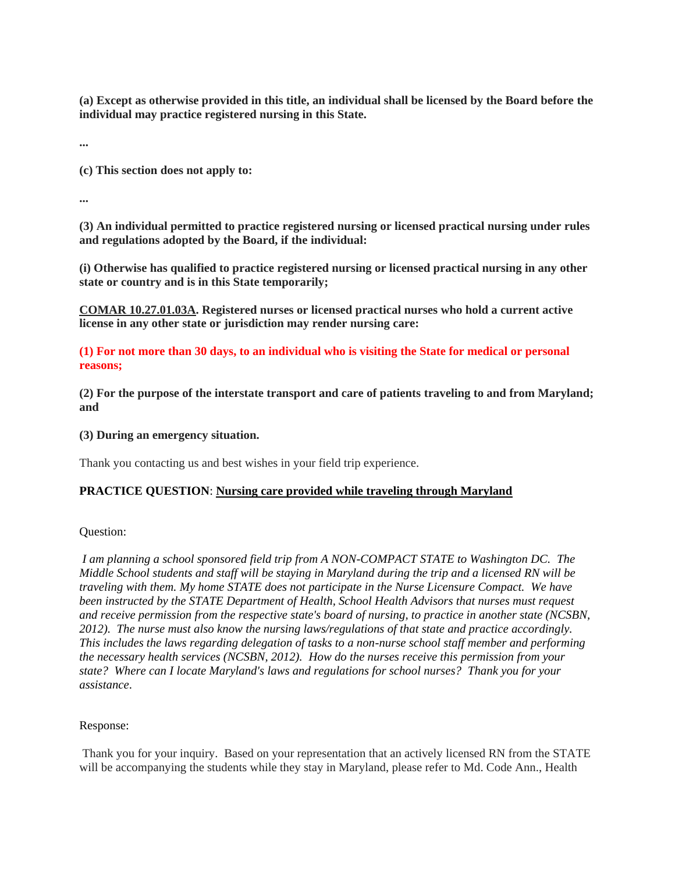**(a) Except as otherwise provided in this title, an individual shall be licensed by the Board before the individual may practice registered nursing in this State.**

**...**

**(c) This section does not apply to:**

**...**

**(3) An individual permitted to practice registered nursing or licensed practical nursing under rules and regulations adopted by the Board, if the individual:**

**(i) Otherwise has qualified to practice registered nursing or licensed practical nursing in any other state or country and is in this State temporarily;**

**COMAR 10.27.01.03A. Registered nurses or licensed practical nurses who hold a current active license in any other state or jurisdiction may render nursing care:**

**(1) For not more than 30 days, to an individual who is visiting the State for medical or personal reasons;**

**(2) For the purpose of the interstate transport and care of patients traveling to and from Maryland; and**

## **(3) During an emergency situation.**

Thank you contacting us and best wishes in your field trip experience.

## **PRACTICE QUESTION**: **Nursing care provided while traveling through Maryland**

Question:

*I am planning a school sponsored field trip from A NON-COMPACT STATE to Washington DC. The Middle School students and staff will be staying in Maryland during the trip and a licensed RN will be traveling with them. My home STATE does not participate in the Nurse Licensure Compact. We have been instructed by the STATE Department of Health, School Health Advisors that nurses must request and receive permission from the respective state's board of nursing, to practice in another state (NCSBN, 2012). The nurse must also know the nursing laws/regulations of that state and practice accordingly. This includes the laws regarding delegation of tasks to a non-nurse school staff member and performing the necessary health services (NCSBN, 2012). How do the nurses receive this permission from your state? Where can I locate Maryland's laws and regulations for school nurses? Thank you for your assistance*.

## Response:

Thank you for your inquiry. Based on your representation that an actively licensed RN from the STATE will be accompanying the students while they stay in Maryland, please refer to Md. Code Ann., Health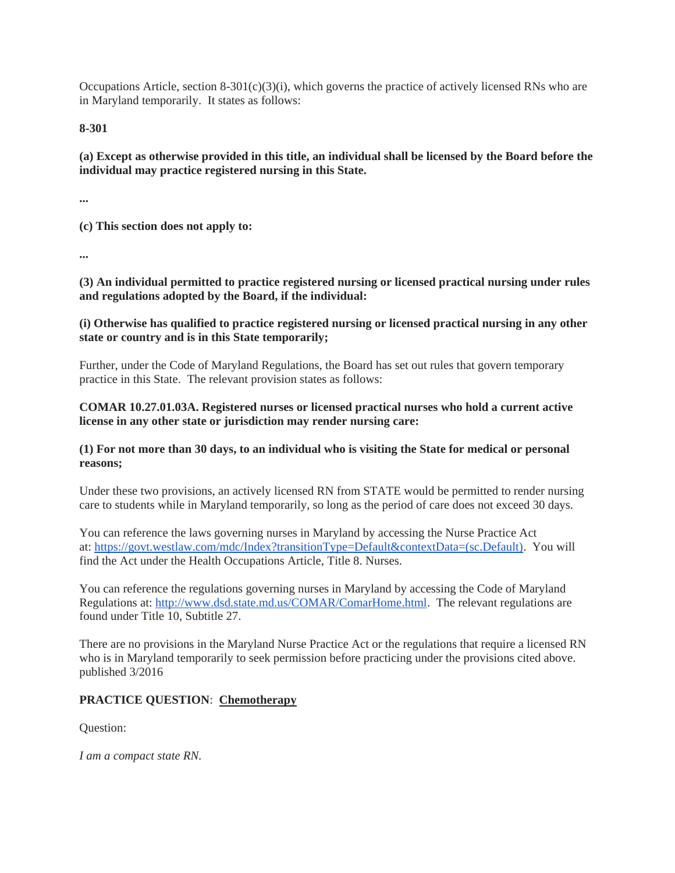Occupations Article, section  $8-301(c)(3)(i)$ , which governs the practice of actively licensed RNs who are in Maryland temporarily. It states as follows:

#### **8-301**

**(a) Except as otherwise provided in this title, an individual shall be licensed by the Board before the individual may practice registered nursing in this State.**

**...**

**(c) This section does not apply to:**

**...**

**(3) An individual permitted to practice registered nursing or licensed practical nursing under rules and regulations adopted by the Board, if the individual:**

## **(i) Otherwise has qualified to practice registered nursing or licensed practical nursing in any other state or country and is in this State temporarily;**

Further, under the Code of Maryland Regulations, the Board has set out rules that govern temporary practice in this State. The relevant provision states as follows:

## **COMAR 10.27.01.03A. Registered nurses or licensed practical nurses who hold a current active license in any other state or jurisdiction may render nursing care:**

## **(1) For not more than 30 days, to an individual who is visiting the State for medical or personal reasons;**

Under these two provisions, an actively licensed RN from STATE would be permitted to render nursing care to students while in Maryland temporarily, so long as the period of care does not exceed 30 days.

You can reference the laws governing nurses in Maryland by accessing the Nurse Practice Act at: [https://govt.westlaw.com/mdc/Index?transitionType=Default&contextData=\(sc.Default\).](https://govt.westlaw.com/mdc/Index?transitionType=Default&contextData=%28sc.Default%29) You will find the Act under the Health Occupations Article, Title 8. Nurses.

You can reference the regulations governing nurses in Maryland by accessing the Code of Maryland Regulations at: [http://www.dsd.state.md.us/COMAR/ComarHome.html.](http://www.dsd.state.md.us/COMAR/ComarHome.html) The relevant regulations are found under Title 10, Subtitle 27.

There are no provisions in the Maryland Nurse Practice Act or the regulations that require a licensed RN who is in Maryland temporarily to seek permission before practicing under the provisions cited above. published 3/2016

# **PRACTICE QUESTION**: **Chemotherapy**

Question:

*I am a compact state RN.*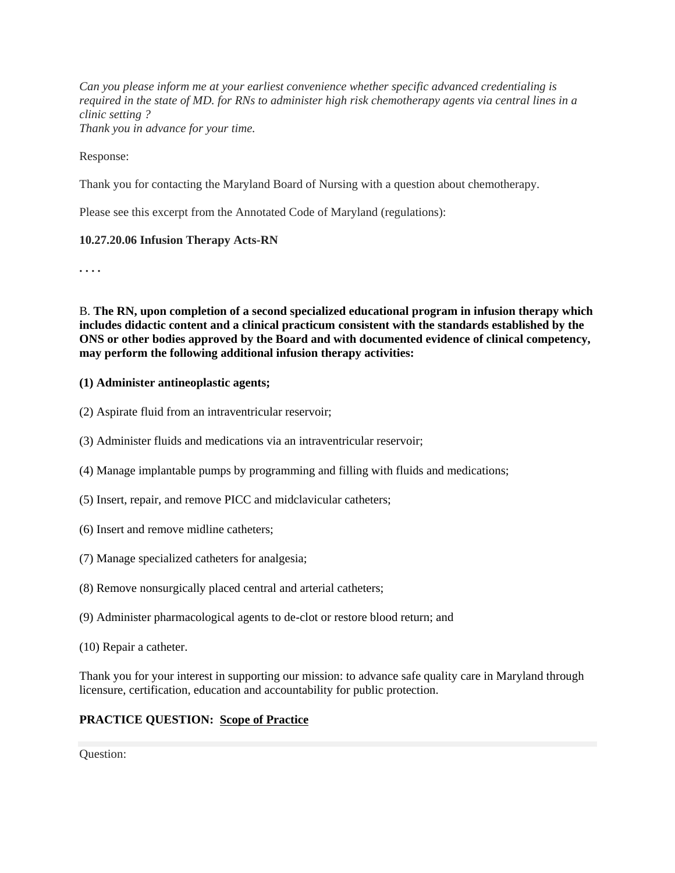*Can you please inform me at your earliest convenience whether specific advanced credentialing is required in the state of MD. for RNs to administer high risk chemotherapy agents via central lines in a clinic setting ? Thank you in advance for your time.*

Response:

Thank you for contacting the Maryland Board of Nursing with a question about chemotherapy.

Please see this excerpt from the Annotated Code of Maryland (regulations):

#### **10.27.20.06 Infusion Therapy Acts-RN**

**. . . .**

B. **The RN, upon completion of a second specialized educational program in infusion therapy which includes didactic content and a clinical practicum consistent with the standards established by the ONS or other bodies approved by the Board and with documented evidence of clinical competency, may perform the following additional infusion therapy activities:**

#### **(1) Administer antineoplastic agents;**

- (2) Aspirate fluid from an intraventricular reservoir;
- (3) Administer fluids and medications via an intraventricular reservoir;
- (4) Manage implantable pumps by programming and filling with fluids and medications;
- (5) Insert, repair, and remove PICC and midclavicular catheters;
- (6) Insert and remove midline catheters;
- (7) Manage specialized catheters for analgesia;
- (8) Remove nonsurgically placed central and arterial catheters;
- (9) Administer pharmacological agents to de-clot or restore blood return; and
- (10) Repair a catheter.

Thank you for your interest in supporting our mission: to advance safe quality care in Maryland through licensure, certification, education and accountability for public protection.

## **PRACTICE QUESTION: Scope of Practice**

Question: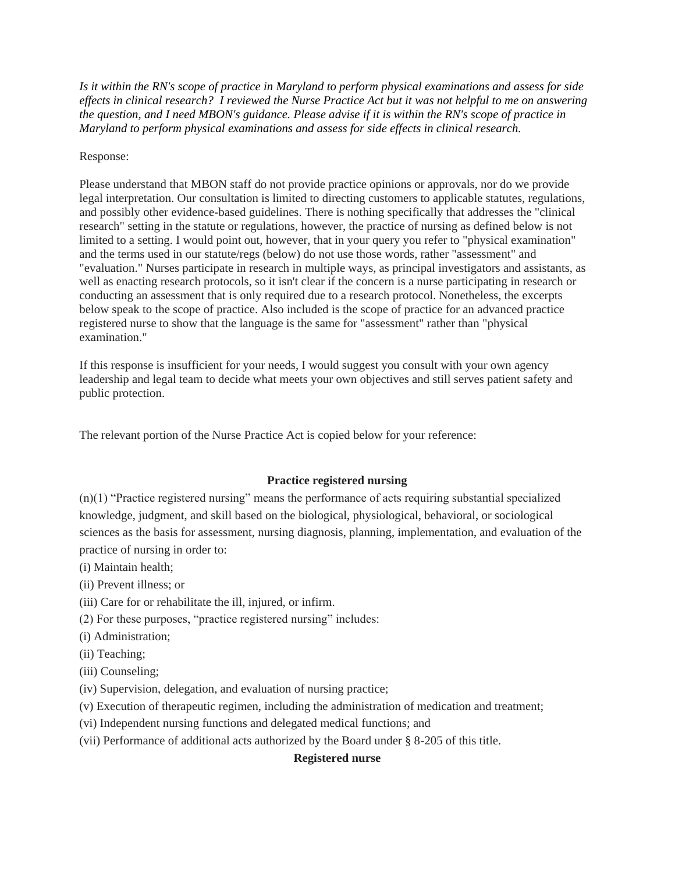*Is it within the RN's scope of practice in Maryland to perform physical examinations and assess for side effects in clinical research? I reviewed the Nurse Practice Act but it was not helpful to me on answering the question, and I need MBON's guidance. Please advise if it is within the RN's scope of practice in Maryland to perform physical examinations and assess for side effects in clinical research.*

## Response:

Please understand that MBON staff do not provide practice opinions or approvals, nor do we provide legal interpretation. Our consultation is limited to directing customers to applicable statutes, regulations, and possibly other evidence-based guidelines. There is nothing specifically that addresses the "clinical research" setting in the statute or regulations, however, the practice of nursing as defined below is not limited to a setting. I would point out, however, that in your query you refer to "physical examination" and the terms used in our statute/regs (below) do not use those words, rather "assessment" and "evaluation." Nurses participate in research in multiple ways, as principal investigators and assistants, as well as enacting research protocols, so it isn't clear if the concern is a nurse participating in research or conducting an assessment that is only required due to a research protocol. Nonetheless, the excerpts below speak to the scope of practice. Also included is the scope of practice for an advanced practice registered nurse to show that the language is the same for "assessment" rather than "physical examination."

If this response is insufficient for your needs, I would suggest you consult with your own agency leadership and legal team to decide what meets your own objectives and still serves patient safety and public protection.

The relevant portion of the Nurse Practice Act is copied below for your reference:

## **Practice registered nursing**

(n)(1) "Practice registered nursing" means the performance of acts requiring substantial specialized knowledge, judgment, and skill based on the biological, physiological, behavioral, or sociological sciences as the basis for assessment, nursing diagnosis, planning, implementation, and evaluation of the practice of nursing in order to:

(i) Maintain health;

(ii) Prevent illness; or

- (iii) Care for or rehabilitate the ill, injured, or infirm.
- (2) For these purposes, "practice registered nursing" includes:
- (i) Administration;
- (ii) Teaching;
- (iii) Counseling;
- (iv) Supervision, delegation, and evaluation of nursing practice;
- (v) Execution of therapeutic regimen, including the administration of medication and treatment;
- (vi) Independent nursing functions and delegated medical functions; and
- (vii) Performance of additional acts authorized by the Board under § 8-205 of this title.

# **Registered nurse**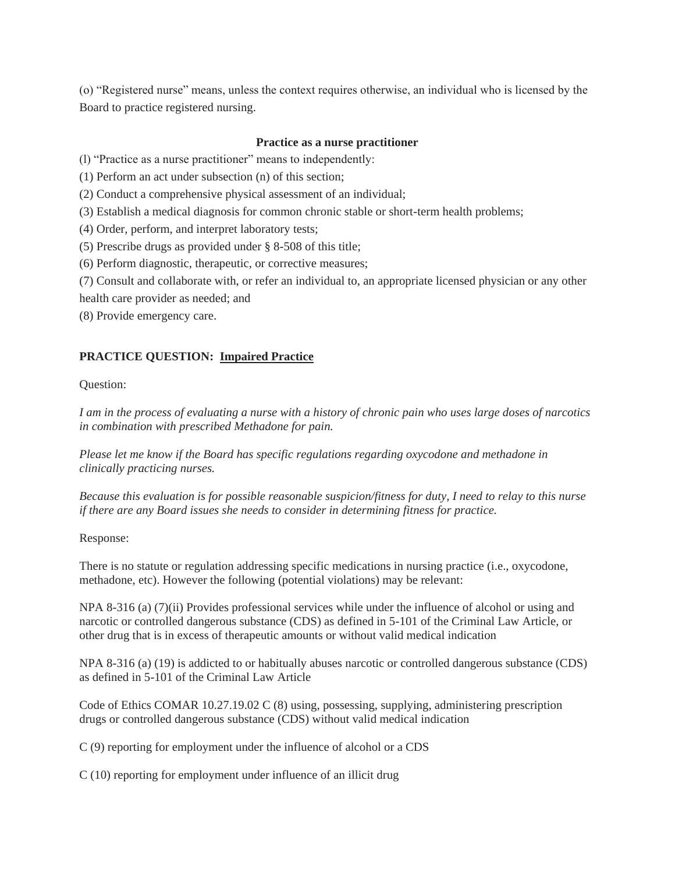(o) "Registered nurse" means, unless the context requires otherwise, an individual who is licensed by the Board to practice registered nursing.

#### **Practice as a nurse practitioner**

(l) "Practice as a nurse practitioner" means to independently:

(1) Perform an act under subsection (n) of this section;

(2) Conduct a comprehensive physical assessment of an individual;

(3) Establish a medical diagnosis for common chronic stable or short-term health problems;

(4) Order, perform, and interpret laboratory tests;

(5) Prescribe drugs as provided under § 8-508 of this title;

(6) Perform diagnostic, therapeutic, or corrective measures;

(7) Consult and collaborate with, or refer an individual to, an appropriate licensed physician or any other

health care provider as needed; and

(8) Provide emergency care.

## **PRACTICE QUESTION: Impaired Practice**

Question:

*I am in the process of evaluating a nurse with a history of chronic pain who uses large doses of narcotics in combination with prescribed Methadone for pain.*

*Please let me know if the Board has specific regulations regarding oxycodone and methadone in clinically practicing nurses.*

*Because this evaluation is for possible reasonable suspicion/fitness for duty, I need to relay to this nurse if there are any Board issues she needs to consider in determining fitness for practice.*

Response:

There is no statute or regulation addressing specific medications in nursing practice (i.e., oxycodone, methadone, etc). However the following (potential violations) may be relevant:

NPA 8-316 (a) (7)(ii) Provides professional services while under the influence of alcohol or using and narcotic or controlled dangerous substance (CDS) as defined in 5-101 of the Criminal Law Article, or other drug that is in excess of therapeutic amounts or without valid medical indication

NPA 8-316 (a) (19) is addicted to or habitually abuses narcotic or controlled dangerous substance (CDS) as defined in 5-101 of the Criminal Law Article

Code of Ethics COMAR 10.27.19.02 C (8) using, possessing, supplying, administering prescription drugs or controlled dangerous substance (CDS) without valid medical indication

C (9) reporting for employment under the influence of alcohol or a CDS

C (10) reporting for employment under influence of an illicit drug